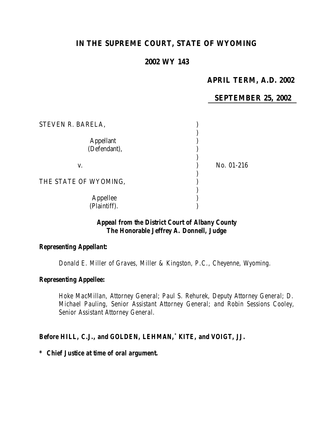# **IN THE SUPREME COURT, STATE OF WYOMING**

## **2002 WY 143**

## **APRIL TERM, A.D. 2002**

## **SEPTEMBER 25, 2002**

| STEVEN R. BARELA,         |            |
|---------------------------|------------|
| Appellant<br>(Defendant), |            |
| V.                        | No. 01-216 |
| THE STATE OF WYOMING,     |            |
| Appellee<br>(Plaintiff).  |            |

## *Appeal from the District Court of Albany County The Honorable Jeffrey A. Donnell, Judge*

### *Representing Appellant:*

*Donald E. Miller of Graves, Miller & Kingston, P.C., Cheyenne, Wyoming.*

## *Representing Appellee:*

*Hoke MacMillan, Attorney General; Paul S. Rehurek, Deputy Attorney General; D. Michael Pauling, Senior Assistant Attorney General; and Robin Sessions Cooley, Senior Assistant Attorney General.*

### *Before HILL, C.J., and GOLDEN, LEHMAN,\* KITE, and VOIGT, JJ.*

#### *\* Chief Justice at time of oral argument.*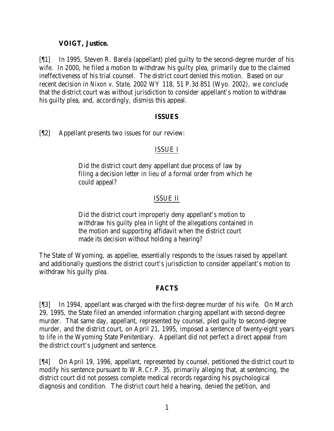## **VOIGT, Justice.**

[¶1] In 1995, Steven R. Barela (appellant) pled guilty to the second-degree murder of his wife. In 2000, he filed a motion to withdraw his guilty plea, primarily due to the claimed ineffectiveness of his trial counsel. The district court denied this motion. Based on our recent decision in *Nixon v. State*, 2002 WY 118, 51 P.3d 851 (Wyo. 2002), we conclude that the district court was without jurisdiction to consider appellant's motion to withdraw his guilty plea, and, accordingly, dismiss this appeal.

#### **ISSUES**

[¶2] Appellant presents two issues for our review:

## ISSUE I

Did the district court deny appellant due process of law by filing a decision letter in lieu of a formal order from which he could appeal?

## ISSUE II

Did the district court improperly deny appellant's motion to withdraw his guilty plea in light of the allegations contained in the motion and supporting affidavit when the district court made its decision without holding a hearing?

The State of Wyoming, as appellee, essentially responds to the issues raised by appellant and additionally questions the district court's jurisdiction to consider appellant's motion to withdraw his guilty plea.

### **FACTS**

[¶3] In 1994, appellant was charged with the first-degree murder of his wife. On March 29, 1995, the State filed an amended information charging appellant with second-degree murder. That same day, appellant, represented by counsel, pled guilty to second-degree murder, and the district court, on April 21, 1995, imposed a sentence of twenty-eight years to life in the Wyoming State Penitentiary. Appellant did not perfect a direct appeal from the district court's judgment and sentence.

[¶4] On April 19, 1996, appellant, represented by counsel, petitioned the district court to modify his sentence pursuant to W.R.Cr.P. 35, primarily alleging that, at sentencing, the district court did not possess complete medical records regarding his psychological diagnosis and condition. The district court held a hearing, denied the petition, and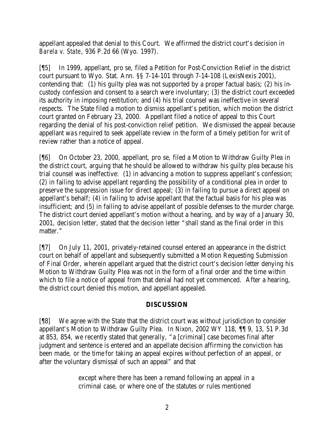appellant appealed that denial to this Court. We affirmed the district court's decision in *Barela v. State*, 936 P.2d 66 (Wyo. 1997).

[¶5] In 1999, appellant, pro se, filed a Petition for Post-Conviction Relief in the district court pursuant to Wyo. Stat. Ann. §§ 7-14-101 through 7-14-108 (LexisNexis 2001), contending that: (1) his guilty plea was not supported by a proper factual basis; (2) his incustody confession and consent to a search were involuntary; (3) the district court exceeded its authority in imposing restitution; and (4) his trial counsel was ineffective in several respects. The State filed a motion to dismiss appellant's petition, which motion the district court granted on February 23, 2000. Appellant filed a notice of appeal to this Court regarding the denial of his post-conviction relief petition. We dismissed the appeal because appellant was required to seek appellate review in the form of a timely petition for writ of review rather than a notice of appeal.

[¶6] On October 23, 2000, appellant, pro se, filed a Motion to Withdraw Guilty Plea in the district court, arguing that he should be allowed to withdraw his guilty plea because his trial counsel was ineffective: (1) in advancing a motion to suppress appellant's confession; (2) in failing to advise appellant regarding the possibility of a conditional plea in order to preserve the suppression issue for direct appeal; (3) in failing to pursue a direct appeal on appellant's behalf; (4) in failing to advise appellant that the factual basis for his plea was insufficient; and (5) in failing to advise appellant of possible defenses to the murder charge. The district court denied appellant's motion without a hearing, and by way of a January 30, 2001, decision letter, stated that the decision letter "shall stand as the final order in this matter."

[¶7] On July 11, 2001, privately-retained counsel entered an appearance in the district court on behalf of appellant and subsequently submitted a Motion Requesting Submission of Final Order, wherein appellant argued that the district court's decision letter denying his Motion to Withdraw Guilty Plea was not in the form of a final order and the time within which to file a notice of appeal from that denial had not yet commenced. After a hearing, the district court denied this motion, and appellant appealed.

## **DISCUSSION**

[¶8] We agree with the State that the district court was without jurisdiction to consider appellant's Motion to Withdraw Guilty Plea. In *Nixon*, 2002 WY 118, ¶¶ 9, 13, 51 P.3d at 853, 854, we recently stated that generally, "a [criminal] case becomes final after judgment and sentence is entered and an appellate decision affirming the conviction has been made, or the time for taking an appeal expires without perfection of an appeal, or after the voluntary dismissal of such an appeal" and that

> except where there has been a remand following an appeal in a criminal case, or where one of the statutes or rules mentioned